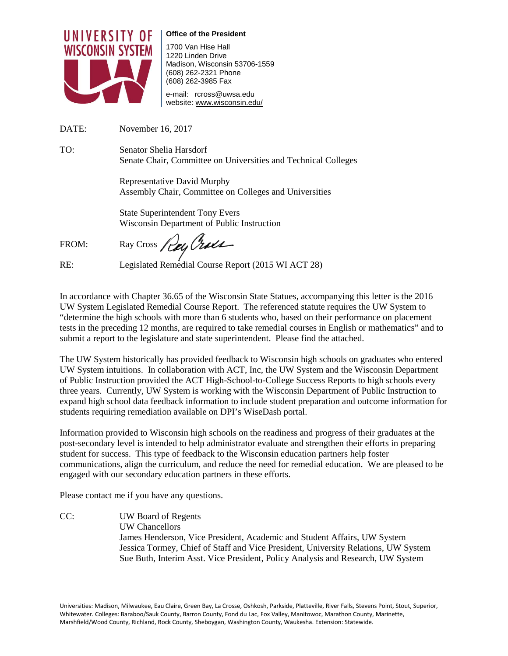

**Office of the President** 

1700 Van Hise Hall 1220 Linden Drive Madison, Wisconsin 53706-1559 (608) 262-2321 Phone (608) 262-3985 Fax

e-mail: rcross@uwsa.edu website[: www.wisconsin.edu/](http://www.wisconsin.edu/vpacad/)

DATE: November 16, 2017

TO: Senator Shelia Harsdorf Senate Chair, Committee on Universities and Technical Colleges

> Representative David Murphy Assembly Chair, Committee on Colleges and Universities

State Superintendent Tony Evers Wisconsin Department of Public Instruction

FROM: Ray Cross  $\mathcal{P}_{\mathcal{U}}$  Cruch

RE: Legislated Remedial Course Report (2015 WI ACT 28)

In accordance with Chapter 36.65 of the Wisconsin State Statues, accompanying this letter is the 2016 UW System Legislated Remedial Course Report. The referenced statute requires the UW System to "determine the high schools with more than 6 students who, based on their performance on placement tests in the preceding 12 months, are required to take remedial courses in English or mathematics" and to submit a report to the legislature and state superintendent. Please find the attached.

The UW System historically has provided feedback to Wisconsin high schools on graduates who entered UW System intuitions. In collaboration with ACT, Inc, the UW System and the Wisconsin Department of Public Instruction provided the ACT High-School-to-College Success Reports to high schools every three years. Currently, UW System is working with the Wisconsin Department of Public Instruction to expand high school data feedback information to include student preparation and outcome information for students requiring remediation available on DPI's WiseDash portal.

Information provided to Wisconsin high schools on the readiness and progress of their graduates at the post-secondary level is intended to help administrator evaluate and strengthen their efforts in preparing student for success. This type of feedback to the Wisconsin education partners help foster communications, align the curriculum, and reduce the need for remedial education. We are pleased to be engaged with our secondary education partners in these efforts.

Please contact me if you have any questions.

CC: UW Board of Regents UW Chancellors James Henderson, Vice President, Academic and Student Affairs, UW System Jessica Tormey, Chief of Staff and Vice President, University Relations, UW System Sue Buth, Interim Asst. Vice President, Policy Analysis and Research, UW System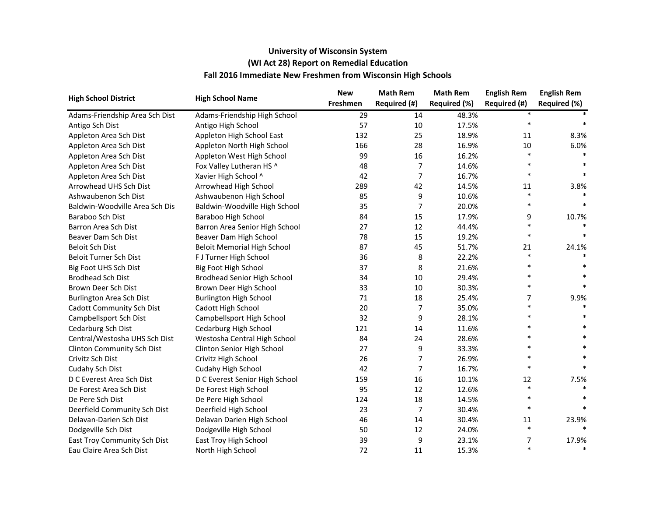| <b>High School District</b>     | <b>High School Name</b>            | <b>New</b> | <b>Math Rem</b> | <b>Math Rem</b> | <b>English Rem</b> | <b>English Rem</b> |
|---------------------------------|------------------------------------|------------|-----------------|-----------------|--------------------|--------------------|
|                                 |                                    | Freshmen   | Required (#)    | Required (%)    | Required (#)       | Required (%)       |
| Adams-Friendship Area Sch Dist  | Adams-Friendship High School       | 29         | 14              | 48.3%           |                    |                    |
| Antigo Sch Dist                 | Antigo High School                 | 57         | 10              | 17.5%           |                    |                    |
| Appleton Area Sch Dist          | Appleton High School East          | 132        | 25              | 18.9%           | 11                 | 8.3%               |
| Appleton Area Sch Dist          | Appleton North High School         | 166        | 28              | 16.9%           | 10                 | 6.0%               |
| Appleton Area Sch Dist          | Appleton West High School          | 99         | 16              | 16.2%           | $\ast$             |                    |
| Appleton Area Sch Dist          | Fox Valley Lutheran HS ^           | 48         | 7               | 14.6%           | $\ast$             |                    |
| Appleton Area Sch Dist          | Xavier High School ^               | 42         | 7               | 16.7%           | $\ast$             |                    |
| Arrowhead UHS Sch Dist          | Arrowhead High School              | 289        | 42              | 14.5%           | 11                 | 3.8%               |
| Ashwaubenon Sch Dist            | Ashwaubenon High School            | 85         | 9               | 10.6%           | $\ast$             |                    |
| Baldwin-Woodville Area Sch Dis  | Baldwin-Woodville High School      | 35         | 7               | 20.0%           | $\ast$             |                    |
| Baraboo Sch Dist                | Baraboo High School                | 84         | 15              | 17.9%           | 9                  | 10.7%              |
| Barron Area Sch Dist            | Barron Area Senior High School     | 27         | 12              | 44.4%           | $\ast$             |                    |
| Beaver Dam Sch Dist             | Beaver Dam High School             | 78         | 15              | 19.2%           | $\ast$             |                    |
| <b>Beloit Sch Dist</b>          | <b>Beloit Memorial High School</b> | 87         | 45              | 51.7%           | 21                 | 24.1%              |
| Beloit Turner Sch Dist          | F J Turner High School             | 36         | 8               | 22.2%           | $\ast$             |                    |
| Big Foot UHS Sch Dist           | Big Foot High School               | 37         | 8               | 21.6%           |                    |                    |
| <b>Brodhead Sch Dist</b>        | <b>Brodhead Senior High School</b> | 34         | 10              | 29.4%           | $\ast$             |                    |
| Brown Deer Sch Dist             | Brown Deer High School             | 33         | 10              | 30.3%           | $\ast$             |                    |
| <b>Burlington Area Sch Dist</b> | <b>Burlington High School</b>      | 71         | 18              | 25.4%           | 7                  | 9.9%               |
| Cadott Community Sch Dist       | Cadott High School                 | 20         | 7               | 35.0%           | $\ast$             |                    |
| Campbellsport Sch Dist          | Campbellsport High School          | 32         | 9               | 28.1%           | $\ast$             |                    |
| Cedarburg Sch Dist              | Cedarburg High School              | 121        | 14              | 11.6%           |                    |                    |
| Central/Westosha UHS Sch Dist   | Westosha Central High School       | 84         | 24              | 28.6%           | $\ast$             |                    |
| Clinton Community Sch Dist      | Clinton Senior High School         | 27         | 9               | 33.3%           | $\ast$             |                    |
| Crivitz Sch Dist                | Crivitz High School                | 26         | 7               | 26.9%           |                    |                    |
| Cudahy Sch Dist                 | Cudahy High School                 | 42         | 7               | 16.7%           | $\ast$             |                    |
| D C Everest Area Sch Dist       | D C Everest Senior High School     | 159        | 16              | 10.1%           | 12                 | 7.5%               |
| De Forest Area Sch Dist         | De Forest High School              | 95         | 12              | 12.6%           | $\ast$             |                    |
| De Pere Sch Dist                | De Pere High School                | 124        | 18              | 14.5%           | $\ast$             |                    |
| Deerfield Community Sch Dist    | Deerfield High School              | 23         | 7               | 30.4%           | $\ast$             |                    |
| Delavan-Darien Sch Dist         | Delavan Darien High School         | 46         | 14              | 30.4%           | 11                 | 23.9%              |
| Dodgeville Sch Dist             | Dodgeville High School             | 50         | 12              | 24.0%           | $\ast$             |                    |
| East Troy Community Sch Dist    | East Troy High School              | 39         | 9               | 23.1%           | 7                  | 17.9%              |
| Eau Claire Area Sch Dist        | North High School                  | 72         | 11              | 15.3%           | $\ast$             | $\ast$             |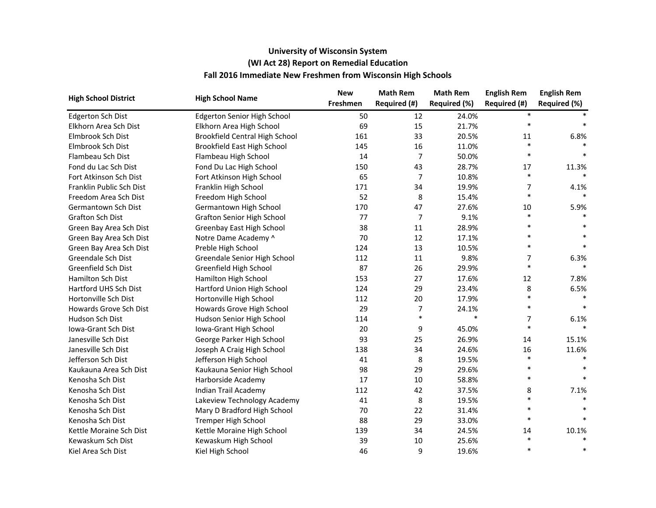| <b>High School District</b> | <b>High School Name</b>               | <b>New</b> | <b>Math Rem</b> | <b>Math Rem</b> | <b>English Rem</b> | <b>English Rem</b> |
|-----------------------------|---------------------------------------|------------|-----------------|-----------------|--------------------|--------------------|
|                             |                                       | Freshmen   | Required (#)    | Required (%)    | Required (#)       | Required (%)       |
| <b>Edgerton Sch Dist</b>    | <b>Edgerton Senior High School</b>    | 50         | 12              | 24.0%           | $\ast$             |                    |
| Elkhorn Area Sch Dist       | Elkhorn Area High School              | 69         | 15              | 21.7%           | $\ast$             |                    |
| Elmbrook Sch Dist           | <b>Brookfield Central High School</b> | 161        | 33              | 20.5%           | 11                 | 6.8%               |
| Elmbrook Sch Dist           | <b>Brookfield East High School</b>    | 145        | 16              | 11.0%           | $\ast$             |                    |
| Flambeau Sch Dist           | Flambeau High School                  | 14         | $\overline{7}$  | 50.0%           | $\ast$             |                    |
| Fond du Lac Sch Dist        | Fond Du Lac High School               | 150        | 43              | 28.7%           | 17                 | 11.3%              |
| Fort Atkinson Sch Dist      | Fort Atkinson High School             | 65         | $\overline{7}$  | 10.8%           | $\ast$             |                    |
| Franklin Public Sch Dist    | Franklin High School                  | 171        | 34              | 19.9%           | 7                  | 4.1%               |
| Freedom Area Sch Dist       | Freedom High School                   | 52         | 8               | 15.4%           | $\ast$             |                    |
| Germantown Sch Dist         | Germantown High School                | 170        | 47              | 27.6%           | 10                 | 5.9%               |
| <b>Grafton Sch Dist</b>     | <b>Grafton Senior High School</b>     | 77         | $\overline{7}$  | 9.1%            | $\ast$             |                    |
| Green Bay Area Sch Dist     | Greenbay East High School             | 38         | 11              | 28.9%           | $\ast$             |                    |
| Green Bay Area Sch Dist     | Notre Dame Academy ^                  | 70         | 12              | 17.1%           | $\ast$             |                    |
| Green Bay Area Sch Dist     | Preble High School                    | 124        | 13              | 10.5%           | $\ast$             | $\ast$             |
| Greendale Sch Dist          | Greendale Senior High School          | 112        | 11              | 9.8%            | 7                  | 6.3%               |
| Greenfield Sch Dist         | Greenfield High School                | 87         | 26              | 29.9%           | $\ast$             |                    |
| Hamilton Sch Dist           | Hamilton High School                  | 153        | 27              | 17.6%           | 12                 | 7.8%               |
| Hartford UHS Sch Dist       | Hartford Union High School            | 124        | 29              | 23.4%           | 8                  | 6.5%               |
| Hortonville Sch Dist        | Hortonville High School               | 112        | 20              | 17.9%           | $\ast$             |                    |
| Howards Grove Sch Dist      | Howards Grove High School             | 29         | $\overline{7}$  | 24.1%           | $\ast$             |                    |
| Hudson Sch Dist             | Hudson Senior High School             | 114        | $\ast$          | $\ast$          | $\overline{7}$     | 6.1%               |
| <b>Iowa-Grant Sch Dist</b>  | Iowa-Grant High School                | 20         | 9               | 45.0%           | $\ast$             |                    |
| Janesville Sch Dist         | George Parker High School             | 93         | 25              | 26.9%           | 14                 | 15.1%              |
| Janesville Sch Dist         | Joseph A Craig High School            | 138        | 34              | 24.6%           | 16                 | 11.6%              |
| Jefferson Sch Dist          | Jefferson High School                 | 41         | 8               | 19.5%           | $\ast$             |                    |
| Kaukauna Area Sch Dist      | Kaukauna Senior High School           | 98         | 29              | 29.6%           | $\ast$             |                    |
| Kenosha Sch Dist            | Harborside Academy                    | 17         | 10              | 58.8%           | $\ast$             | $\ast$             |
| Kenosha Sch Dist            | Indian Trail Academy                  | 112        | 42              | 37.5%           | 8                  | 7.1%               |
| Kenosha Sch Dist            | Lakeview Technology Academy           | 41         | 8               | 19.5%           | $\ast$             |                    |
| Kenosha Sch Dist            | Mary D Bradford High School           | 70         | 22              | 31.4%           | $\ast$             |                    |
| Kenosha Sch Dist            | Tremper High School                   | 88         | 29              | 33.0%           | $\ast$             |                    |
| Kettle Moraine Sch Dist     | Kettle Moraine High School            | 139        | 34              | 24.5%           | 14                 | 10.1%              |
| Kewaskum Sch Dist           | Kewaskum High School                  | 39         | 10              | 25.6%           | $\ast$             |                    |
| Kiel Area Sch Dist          | Kiel High School                      | 46         | 9               | 19.6%           | $\ast$             | $\ast$             |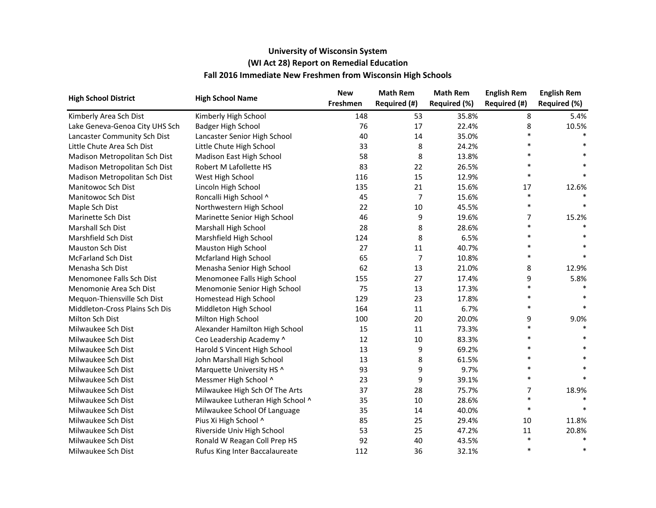| <b>High School District</b>    | <b>High School Name</b>          | <b>New</b> | <b>Math Rem</b> | <b>Math Rem</b> | <b>English Rem</b> | <b>English Rem</b> |
|--------------------------------|----------------------------------|------------|-----------------|-----------------|--------------------|--------------------|
|                                |                                  | Freshmen   | Required (#)    | Required (%)    | Required (#)       | Required (%)       |
| Kimberly Area Sch Dist         | Kimberly High School             | 148        | 53              | 35.8%           | 8                  | 5.4%               |
| Lake Geneva-Genoa City UHS Sch | <b>Badger High School</b>        | 76         | 17              | 22.4%           | 8                  | 10.5%              |
| Lancaster Community Sch Dist   | Lancaster Senior High School     | 40         | 14              | 35.0%           |                    |                    |
| Little Chute Area Sch Dist     | Little Chute High School         | 33         | 8               | 24.2%           | $\ast$             |                    |
| Madison Metropolitan Sch Dist  | Madison East High School         | 58         | 8               | 13.8%           | $\ast$             |                    |
| Madison Metropolitan Sch Dist  | Robert M Lafollette HS           | 83         | 22              | 26.5%           | $\ast$             |                    |
| Madison Metropolitan Sch Dist  | West High School                 | 116        | 15              | 12.9%           | $\ast$             |                    |
| Manitowoc Sch Dist             | Lincoln High School              | 135        | 21              | 15.6%           | 17                 | 12.6%              |
| <b>Manitowoc Sch Dist</b>      | Roncalli High School ^           | 45         | 7               | 15.6%           | $\ast$             |                    |
| Maple Sch Dist                 | Northwestern High School         | 22         | $10\,$          | 45.5%           | $\ast$             |                    |
| Marinette Sch Dist             | Marinette Senior High School     | 46         | 9               | 19.6%           | 7                  | 15.2%              |
| Marshall Sch Dist              | Marshall High School             | 28         | 8               | 28.6%           | $\ast$             |                    |
| Marshfield Sch Dist            | Marshfield High School           | 124        | 8               | 6.5%            |                    |                    |
| <b>Mauston Sch Dist</b>        | Mauston High School              | 27         | 11              | 40.7%           |                    |                    |
| <b>McFarland Sch Dist</b>      | <b>Mcfarland High School</b>     | 65         | $\overline{7}$  | 10.8%           | $\ast$             |                    |
| Menasha Sch Dist               | Menasha Senior High School       | 62         | 13              | 21.0%           | 8                  | 12.9%              |
| Menomonee Falls Sch Dist       | Menomonee Falls High School      | 155        | 27              | 17.4%           | 9                  | 5.8%               |
| Menomonie Area Sch Dist        | Menomonie Senior High School     | 75         | 13              | 17.3%           | $\ast$             |                    |
| Mequon-Thiensville Sch Dist    | Homestead High School            | 129        | 23              | 17.8%           | $\ast$             |                    |
| Middleton-Cross Plains Sch Dis | Middleton High School            | 164        | 11              | 6.7%            | $\ast$             | $\ast$             |
| Milton Sch Dist                | Milton High School               | 100        | 20              | 20.0%           | 9                  | 9.0%               |
| Milwaukee Sch Dist             | Alexander Hamilton High School   | 15         | 11              | 73.3%           | $\ast$             |                    |
| Milwaukee Sch Dist             | Ceo Leadership Academy ^         | 12         | 10              | 83.3%           | $\ast$             |                    |
| Milwaukee Sch Dist             | Harold S Vincent High School     | 13         | 9               | 69.2%           | $\ast$             |                    |
| Milwaukee Sch Dist             | John Marshall High School        | 13         | 8               | 61.5%           |                    |                    |
| Milwaukee Sch Dist             | Marquette University HS ^        | 93         | 9               | 9.7%            | $\ast$             |                    |
| Milwaukee Sch Dist             | Messmer High School ^            | 23         | 9               | 39.1%           | $\ast$             |                    |
| Milwaukee Sch Dist             | Milwaukee High Sch Of The Arts   | 37         | 28              | 75.7%           | 7                  | 18.9%              |
| Milwaukee Sch Dist             | Milwaukee Lutheran High School ^ | 35         | 10              | 28.6%           | $\ast$             |                    |
| Milwaukee Sch Dist             | Milwaukee School Of Language     | 35         | 14              | 40.0%           | $\ast$             |                    |
| Milwaukee Sch Dist             | Pius Xi High School ^            | 85         | 25              | 29.4%           | 10                 | 11.8%              |
| Milwaukee Sch Dist             | Riverside Univ High School       | 53         | 25              | 47.2%           | 11                 | 20.8%              |
| Milwaukee Sch Dist             | Ronald W Reagan Coll Prep HS     | 92         | 40              | 43.5%           | $\ast$             |                    |
| Milwaukee Sch Dist             | Rufus King Inter Baccalaureate   | 112        | 36              | 32.1%           | $\ast$             | $\ast$             |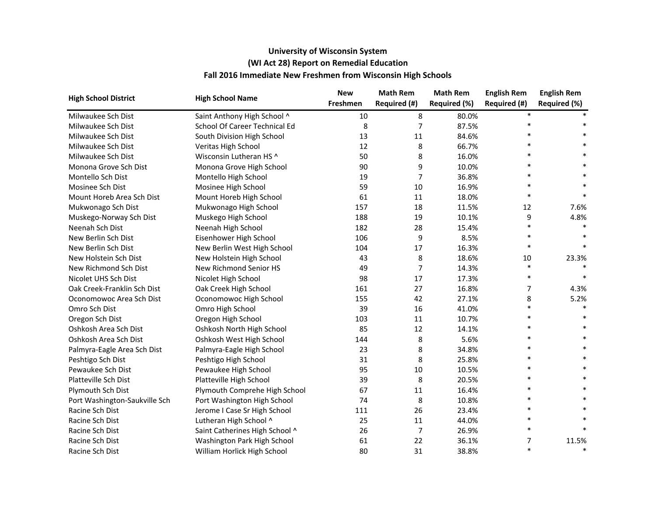| <b>High School District</b>   | <b>High School Name</b>        | <b>New</b> | <b>Math Rem</b> | <b>Math Rem</b> | <b>English Rem</b> | <b>English Rem</b> |
|-------------------------------|--------------------------------|------------|-----------------|-----------------|--------------------|--------------------|
|                               |                                | Freshmen   | Required (#)    | Required (%)    | Required (#)       | Required (%)       |
| Milwaukee Sch Dist            | Saint Anthony High School ^    | 10         | 8               | 80.0%           |                    |                    |
| Milwaukee Sch Dist            | School Of Career Technical Ed  | 8          | 7               | 87.5%           | $\ast$             |                    |
| Milwaukee Sch Dist            | South Division High School     | 13         | 11              | 84.6%           |                    |                    |
| Milwaukee Sch Dist            | Veritas High School            | 12         | 8               | 66.7%           |                    |                    |
| Milwaukee Sch Dist            | Wisconsin Lutheran HS ^        | 50         | 8               | 16.0%           |                    |                    |
| Monona Grove Sch Dist         | Monona Grove High School       | 90         | 9               | 10.0%           |                    |                    |
| Montello Sch Dist             | Montello High School           | 19         | 7               | 36.8%           | $\ast$             |                    |
| Mosinee Sch Dist              | Mosinee High School            | 59         | 10              | 16.9%           | $\ast$             |                    |
| Mount Horeb Area Sch Dist     | Mount Horeb High School        | 61         | 11              | 18.0%           | $\ast$             |                    |
| Mukwonago Sch Dist            | Mukwonago High School          | 157        | 18              | 11.5%           | 12                 | 7.6%               |
| Muskego-Norway Sch Dist       | Muskego High School            | 188        | 19              | 10.1%           | 9                  | 4.8%               |
| Neenah Sch Dist               | Neenah High School             | 182        | 28              | 15.4%           | $\ast$             |                    |
| New Berlin Sch Dist           | Eisenhower High School         | 106        | 9               | 8.5%            |                    |                    |
| New Berlin Sch Dist           | New Berlin West High School    | 104        | 17              | 16.3%           |                    |                    |
| New Holstein Sch Dist         | New Holstein High School       | 43         | 8               | 18.6%           | 10                 | 23.3%              |
| New Richmond Sch Dist         | New Richmond Senior HS         | 49         | 7               | 14.3%           | $\ast$             |                    |
| Nicolet UHS Sch Dist          | Nicolet High School            | 98         | 17              | 17.3%           | $\ast$             |                    |
| Oak Creek-Franklin Sch Dist   | Oak Creek High School          | 161        | 27              | 16.8%           | 7                  | 4.3%               |
| Oconomowoc Area Sch Dist      | Oconomowoc High School         | 155        | 42              | 27.1%           | 8                  | 5.2%               |
| Omro Sch Dist                 | Omro High School               | 39         | 16              | 41.0%           | $\ast$             |                    |
| Oregon Sch Dist               | Oregon High School             | 103        | 11              | 10.7%           | $\ast$             |                    |
| Oshkosh Area Sch Dist         | Oshkosh North High School      | 85         | 12              | 14.1%           | $\ast$             |                    |
| Oshkosh Area Sch Dist         | Oshkosh West High School       | 144        | 8               | 5.6%            |                    |                    |
| Palmyra-Eagle Area Sch Dist   | Palmyra-Eagle High School      | 23         | 8               | 34.8%           |                    |                    |
| Peshtigo Sch Dist             | Peshtigo High School           | 31         | 8               | 25.8%           |                    |                    |
| Pewaukee Sch Dist             | Pewaukee High School           | 95         | 10              | 10.5%           |                    |                    |
| Platteville Sch Dist          | Platteville High School        | 39         | 8               | 20.5%           |                    |                    |
| Plymouth Sch Dist             | Plymouth Comprehe High School  | 67         | 11              | 16.4%           |                    |                    |
| Port Washington-Saukville Sch | Port Washington High School    | 74         | 8               | 10.8%           |                    |                    |
| Racine Sch Dist               | Jerome I Case Sr High School   | 111        | 26              | 23.4%           |                    |                    |
| Racine Sch Dist               | Lutheran High School ^         | 25         | 11              | 44.0%           |                    |                    |
| Racine Sch Dist               | Saint Catherines High School ^ | 26         | 7               | 26.9%           | $\ast$             |                    |
| Racine Sch Dist               | Washington Park High School    | 61         | 22              | 36.1%           | 7                  | 11.5%              |
| Racine Sch Dist               | William Horlick High School    | 80         | 31              | 38.8%           | $\ast$             | $\ast$             |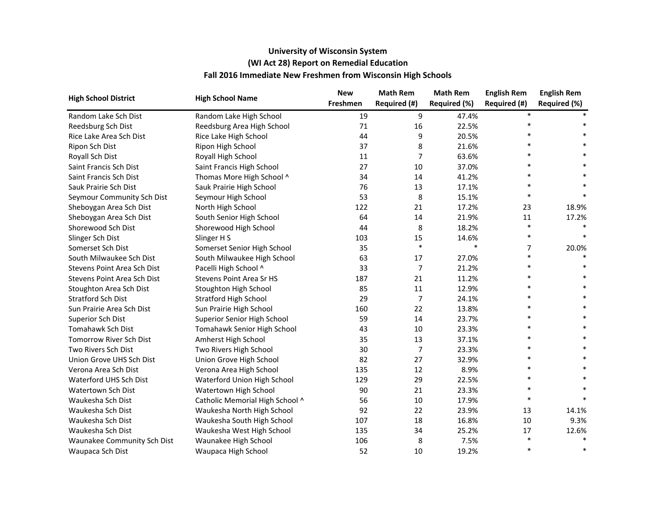| <b>High School District</b> | <b>High School Name</b>         | <b>New</b> | <b>Math Rem</b> | <b>Math Rem</b> | <b>English Rem</b> | <b>English Rem</b> |
|-----------------------------|---------------------------------|------------|-----------------|-----------------|--------------------|--------------------|
|                             |                                 | Freshmen   | Required (#)    | Required (%)    | Required (#)       | Required (%)       |
| Random Lake Sch Dist        | Random Lake High School         | 19         | 9               | 47.4%           |                    |                    |
| Reedsburg Sch Dist          | Reedsburg Area High School      | 71         | 16              | 22.5%           |                    |                    |
| Rice Lake Area Sch Dist     | Rice Lake High School           | 44         | 9               | 20.5%           |                    |                    |
| Ripon Sch Dist              | Ripon High School               | 37         | 8               | 21.6%           |                    |                    |
| Royall Sch Dist             | Royall High School              | 11         | 7               | 63.6%           |                    |                    |
| Saint Francis Sch Dist      | Saint Francis High School       | 27         | 10              | 37.0%           |                    |                    |
| Saint Francis Sch Dist      | Thomas More High School ^       | 34         | 14              | 41.2%           |                    |                    |
| Sauk Prairie Sch Dist       | Sauk Prairie High School        | 76         | 13              | 17.1%           | $\ast$             |                    |
| Seymour Community Sch Dist  | Seymour High School             | 53         | 8               | 15.1%           | $\ast$             |                    |
| Sheboygan Area Sch Dist     | North High School               | 122        | 21              | 17.2%           | 23                 | 18.9%              |
| Sheboygan Area Sch Dist     | South Senior High School        | 64         | 14              | 21.9%           | 11                 | 17.2%              |
| Shorewood Sch Dist          | Shorewood High School           | 44         | 8               | 18.2%           | $\ast$             |                    |
| Slinger Sch Dist            | Slinger H S                     | 103        | 15              | 14.6%           | $\ast$             |                    |
| Somerset Sch Dist           | Somerset Senior High School     | 35         | $\ast$          | $\ast$          | 7                  | 20.0%              |
| South Milwaukee Sch Dist    | South Milwaukee High School     | 63         | 17              | 27.0%           | $\ast$             |                    |
| Stevens Point Area Sch Dist | Pacelli High School ^           | 33         | 7               | 21.2%           | $\ast$             |                    |
| Stevens Point Area Sch Dist | Stevens Point Area Sr HS        | 187        | 21              | 11.2%           |                    |                    |
| Stoughton Area Sch Dist     | Stoughton High School           | 85         | 11              | 12.9%           |                    |                    |
| <b>Stratford Sch Dist</b>   | <b>Stratford High School</b>    | 29         | 7               | 24.1%           | $\ast$             |                    |
| Sun Prairie Area Sch Dist   | Sun Prairie High School         | 160        | 22              | 13.8%           |                    |                    |
| Superior Sch Dist           | Superior Senior High School     | 59         | 14              | 23.7%           |                    |                    |
| Tomahawk Sch Dist           | Tomahawk Senior High School     | 43         | 10              | 23.3%           |                    |                    |
| Tomorrow River Sch Dist     | Amherst High School             | 35         | 13              | 37.1%           | $\ast$             |                    |
| Two Rivers Sch Dist         | Two Rivers High School          | 30         | 7               | 23.3%           |                    |                    |
| Union Grove UHS Sch Dist    | Union Grove High School         | 82         | 27              | 32.9%           |                    |                    |
| Verona Area Sch Dist        | Verona Area High School         | 135        | 12              | 8.9%            |                    |                    |
| Waterford UHS Sch Dist      | Waterford Union High School     | 129        | 29              | 22.5%           |                    |                    |
| Watertown Sch Dist          | Watertown High School           | 90         | 21              | 23.3%           |                    |                    |
| Waukesha Sch Dist           | Catholic Memorial High School ^ | 56         | 10              | 17.9%           | $\ast$             |                    |
| Waukesha Sch Dist           | Waukesha North High School      | 92         | 22              | 23.9%           | 13                 | 14.1%              |
| Waukesha Sch Dist           | Waukesha South High School      | 107        | 18              | 16.8%           | 10                 | 9.3%               |
| Waukesha Sch Dist           | Waukesha West High School       | 135        | 34              | 25.2%           | 17                 | 12.6%              |
| Waunakee Community Sch Dist | Waunakee High School            | 106        | 8               | 7.5%            | $\ast$             |                    |
| Waupaca Sch Dist            | Waupaca High School             | 52         | 10              | 19.2%           | $\ast$             | $\ast$             |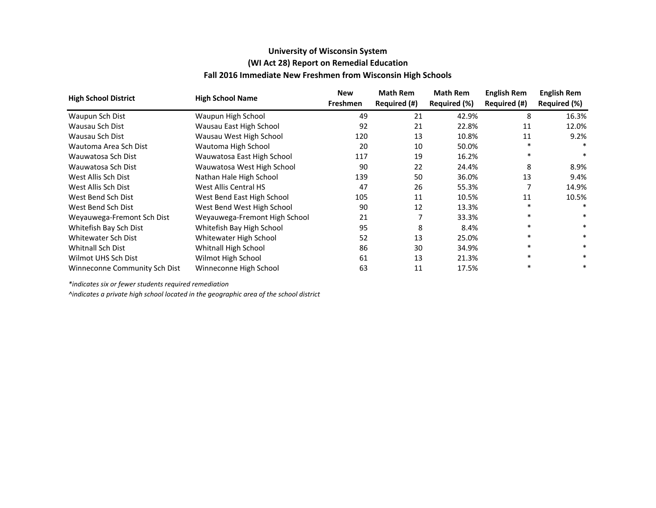|                               |                               | <b>New</b> | <b>Math Rem</b> | <b>Math Rem</b> | <b>English Rem</b> | <b>English Rem</b> |
|-------------------------------|-------------------------------|------------|-----------------|-----------------|--------------------|--------------------|
| <b>High School District</b>   | <b>High School Name</b>       | Freshmen   | Required (#)    | Required (%)    | Required (#)       | Required (%)       |
| Waupun Sch Dist               | Waupun High School            | 49         | 21              | 42.9%           | 8                  | 16.3%              |
| Wausau Sch Dist               | Wausau East High School       | 92         | 21              | 22.8%           | 11                 | 12.0%              |
| Wausau Sch Dist               | Wausau West High School       | 120        | 13              | 10.8%           | 11                 | 9.2%               |
| Wautoma Area Sch Dist         | Wautoma High School           | 20         | 10              | 50.0%           | $\ast$             |                    |
| Wauwatosa Sch Dist            | Wauwatosa East High School    | 117        | 19              | 16.2%           | $\ast$             |                    |
| Wauwatosa Sch Dist            | Wauwatosa West High School    | 90         | 22              | 24.4%           | 8                  | 8.9%               |
| West Allis Sch Dist           | Nathan Hale High School       | 139        | 50              | 36.0%           | 13                 | 9.4%               |
| West Allis Sch Dist           | West Allis Central HS         | 47         | 26              | 55.3%           |                    | 14.9%              |
| West Bend Sch Dist            | West Bend East High School    | 105        | 11              | 10.5%           | 11                 | 10.5%              |
| West Bend Sch Dist            | West Bend West High School    | 90         | 12              | 13.3%           | $\ast$             | $\ast$             |
| Weyauwega-Fremont Sch Dist    | Weyauwega-Fremont High School | 21         |                 | 33.3%           | $\ast$             | $\ast$             |
| Whitefish Bay Sch Dist        | Whitefish Bay High School     | 95         | 8               | 8.4%            | $\ast$             | $\ast$             |
| Whitewater Sch Dist           | Whitewater High School        | 52         | 13              | 25.0%           | $\ast$             | $\ast$             |
| <b>Whitnall Sch Dist</b>      | Whitnall High School          | 86         | 30              | 34.9%           | $\ast$             | $\ast$             |
| Wilmot UHS Sch Dist           | Wilmot High School            | 61         | 13              | 21.3%           | $\ast$             | $\ast$             |
| Winneconne Community Sch Dist | Winneconne High School        | 63         | 11              | 17.5%           |                    |                    |

*\*indicates six or fewer students required remediation*

*^indicates a private high school located in the geographic area of the school district*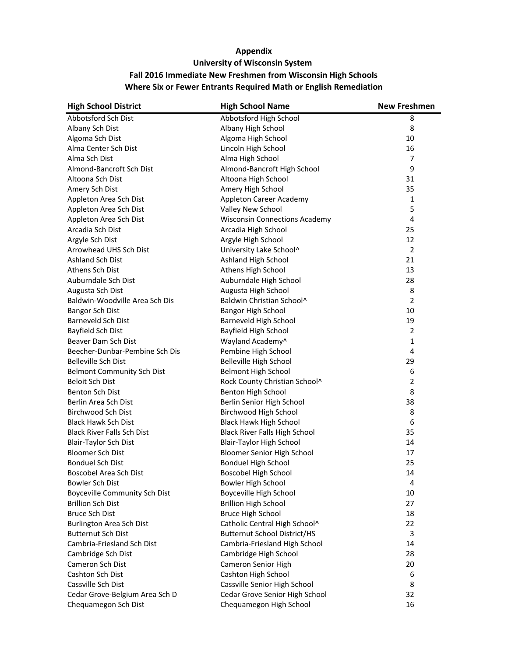| <b>High School District</b>          | <b>High School Name</b>              | <b>New Freshmen</b> |
|--------------------------------------|--------------------------------------|---------------------|
| Abbotsford Sch Dist                  | Abbotsford High School               | 8                   |
| Albany Sch Dist                      | Albany High School                   | 8                   |
| Algoma Sch Dist                      | Algoma High School                   | 10                  |
| Alma Center Sch Dist                 | Lincoln High School                  | 16                  |
| Alma Sch Dist                        | Alma High School                     | $\overline{7}$      |
| Almond-Bancroft Sch Dist             | Almond-Bancroft High School          | 9                   |
| Altoona Sch Dist                     | Altoona High School                  | 31                  |
| Amery Sch Dist                       | Amery High School                    | 35                  |
| Appleton Area Sch Dist               | Appleton Career Academy              | 1                   |
| Appleton Area Sch Dist               | Valley New School                    | 5                   |
| Appleton Area Sch Dist               | <b>Wisconsin Connections Academy</b> | 4                   |
| Arcadia Sch Dist                     | Arcadia High School                  | 25                  |
| Argyle Sch Dist                      | Argyle High School                   | 12                  |
| Arrowhead UHS Sch Dist               | University Lake School^              | $\overline{2}$      |
| <b>Ashland Sch Dist</b>              | Ashland High School                  | 21                  |
| Athens Sch Dist                      | Athens High School                   | 13                  |
| Auburndale Sch Dist                  | Auburndale High School               | 28                  |
| Augusta Sch Dist                     | Augusta High School                  | 8                   |
| Baldwin-Woodville Area Sch Dis       | Baldwin Christian School^            | $\overline{2}$      |
| Bangor Sch Dist                      | <b>Bangor High School</b>            | 10                  |
| Barneveld Sch Dist                   | Barneveld High School                | 19                  |
| Bayfield Sch Dist                    | Bayfield High School                 | $\overline{2}$      |
| Beaver Dam Sch Dist                  | Wayland Academy^                     | $\mathbf{1}$        |
| Beecher-Dunbar-Pembine Sch Dis       | Pembine High School                  | 4                   |
| Belleville Sch Dist                  | Belleville High School               | 29                  |
| <b>Belmont Community Sch Dist</b>    | <b>Belmont High School</b>           | 6                   |
| <b>Beloit Sch Dist</b>               | Rock County Christian School^        | $\overline{2}$      |
| <b>Benton Sch Dist</b>               | <b>Benton High School</b>            | 8                   |
| Berlin Area Sch Dist                 | Berlin Senior High School            | 38                  |
| Birchwood Sch Dist                   | Birchwood High School                | 8                   |
| <b>Black Hawk Sch Dist</b>           | <b>Black Hawk High School</b>        | 6                   |
| <b>Black River Falls Sch Dist</b>    | <b>Black River Falls High School</b> | 35                  |
| <b>Blair-Taylor Sch Dist</b>         | <b>Blair-Taylor High School</b>      | 14                  |
| <b>Bloomer Sch Dist</b>              | <b>Bloomer Senior High School</b>    | 17                  |
| <b>Bonduel Sch Dist</b>              | <b>Bonduel High School</b>           | 25                  |
| Boscobel Area Sch Dist               | Boscobel High School                 | 14                  |
| Bowler Sch Dist                      | <b>Bowler High School</b>            | 4                   |
| <b>Boyceville Community Sch Dist</b> | Boyceville High School               | 10                  |
| <b>Brillion Sch Dist</b>             | <b>Brillion High School</b>          | 27                  |
| <b>Bruce Sch Dist</b>                | <b>Bruce High School</b>             | 18                  |
| <b>Burlington Area Sch Dist</b>      | Catholic Central High School^        | 22                  |
| <b>Butternut Sch Dist</b>            | <b>Butternut School District/HS</b>  | 3                   |
| Cambria-Friesland Sch Dist           | Cambria-Friesland High School        | 14                  |
| Cambridge Sch Dist                   | Cambridge High School                | 28                  |
| Cameron Sch Dist                     | Cameron Senior High                  | 20                  |
| Cashton Sch Dist                     | Cashton High School                  | 6                   |
| Cassville Sch Dist                   | Cassville Senior High School         | 8                   |
| Cedar Grove-Belgium Area Sch D       | Cedar Grove Senior High School       | 32                  |
| Chequamegon Sch Dist                 | Chequamegon High School              | 16                  |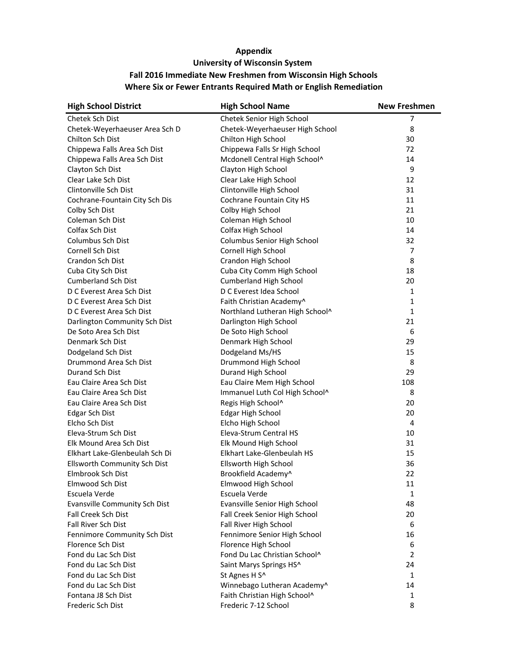| <b>High School District</b>    | <b>High School Name</b>         | <b>New Freshmen</b> |
|--------------------------------|---------------------------------|---------------------|
| Chetek Sch Dist                | Chetek Senior High School       | 7                   |
| Chetek-Weyerhaeuser Area Sch D | Chetek-Weyerhaeuser High School | 8                   |
| Chilton Sch Dist               | Chilton High School             | 30                  |
| Chippewa Falls Area Sch Dist   | Chippewa Falls Sr High School   | 72                  |
| Chippewa Falls Area Sch Dist   | Mcdonell Central High School^   | 14                  |
| Clayton Sch Dist               | Clayton High School             | 9                   |
| Clear Lake Sch Dist            | Clear Lake High School          | 12                  |
| Clintonville Sch Dist          | Clintonville High School        | 31                  |
| Cochrane-Fountain City Sch Dis | Cochrane Fountain City HS       | 11                  |
| Colby Sch Dist                 | Colby High School               | 21                  |
| Coleman Sch Dist               | Coleman High School             | 10                  |
| Colfax Sch Dist                | Colfax High School              | 14                  |
| Columbus Sch Dist              | Columbus Senior High School     | 32                  |
| Cornell Sch Dist               | Cornell High School             | 7                   |
| Crandon Sch Dist               | Crandon High School             | 8                   |
| Cuba City Sch Dist             | Cuba City Comm High School      | 18                  |
| <b>Cumberland Sch Dist</b>     | <b>Cumberland High School</b>   | 20                  |
| D C Everest Area Sch Dist      | D C Everest Idea School         | 1                   |
| D C Everest Area Sch Dist      | Faith Christian Academy^        | 1                   |
| D C Everest Area Sch Dist      | Northland Lutheran High School^ | 1                   |
| Darlington Community Sch Dist  | Darlington High School          | 21                  |
| De Soto Area Sch Dist          | De Soto High School             | 6                   |
| Denmark Sch Dist               | Denmark High School             | 29                  |
| Dodgeland Sch Dist             | Dodgeland Ms/HS                 | 15                  |
| Drummond Area Sch Dist         | Drummond High School            | 8                   |
| Durand Sch Dist                | Durand High School              | 29                  |
| Eau Claire Area Sch Dist       | Eau Claire Mem High School      | 108                 |
| Eau Claire Area Sch Dist       | Immanuel Luth Col High School^  | 8                   |
| Eau Claire Area Sch Dist       | Regis High School^              | 20                  |
| <b>Edgar Sch Dist</b>          | <b>Edgar High School</b>        | 20                  |
| Elcho Sch Dist                 | Elcho High School               | 4                   |
| Eleva-Strum Sch Dist           | Eleva-Strum Central HS          | 10                  |
| Elk Mound Area Sch Dist        | Elk Mound High School           | 31                  |
| Elkhart Lake-Glenbeulah Sch Di | Elkhart Lake-Glenbeulah HS      | 15                  |
| Ellsworth Community Sch Dist   | Ellsworth High School           | 36                  |
| Elmbrook Sch Dist              | Brookfield Academy^             | 22                  |
| Elmwood Sch Dist               | Elmwood High School             | 11                  |
| Escuela Verde                  | Escuela Verde                   | 1                   |
| Evansville Community Sch Dist  | Evansville Senior High School   | 48                  |
| Fall Creek Sch Dist            | Fall Creek Senior High School   | 20                  |
| Fall River Sch Dist            | Fall River High School          | 6                   |
| Fennimore Community Sch Dist   | Fennimore Senior High School    | 16                  |
| Florence Sch Dist              | Florence High School            | 6                   |
| Fond du Lac Sch Dist           | Fond Du Lac Christian School^   | $\overline{2}$      |
| Fond du Lac Sch Dist           | Saint Marys Springs HS^         | 24                  |
| Fond du Lac Sch Dist           | St Agnes H S^                   | 1                   |
| Fond du Lac Sch Dist           | Winnebago Lutheran Academy^     | 14                  |
| Fontana J8 Sch Dist            | Faith Christian High School^    | 1                   |
| Frederic Sch Dist              | Frederic 7-12 School            | 8                   |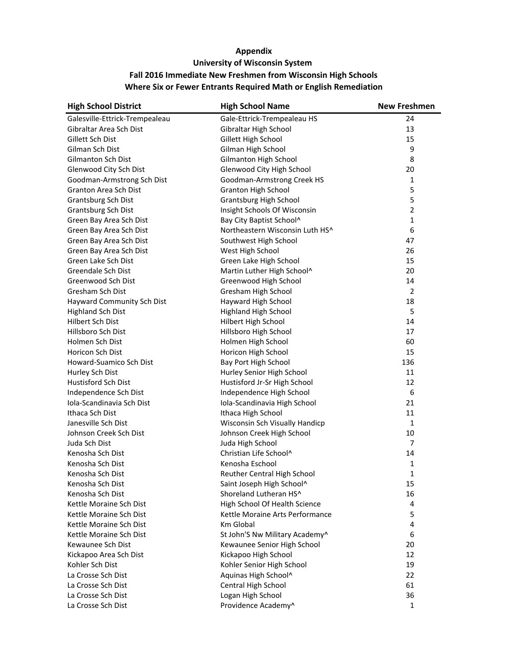| <b>High School District</b>    | <b>High School Name</b>         | <b>New Freshmen</b> |
|--------------------------------|---------------------------------|---------------------|
| Galesville-Ettrick-Trempealeau | Gale-Ettrick-Trempealeau HS     | 24                  |
| Gibraltar Area Sch Dist        | Gibraltar High School           | 13                  |
| Gillett Sch Dist               | Gillett High School             | 15                  |
| Gilman Sch Dist                | Gilman High School              | 9                   |
| Gilmanton Sch Dist             | Gilmanton High School           | 8                   |
| Glenwood City Sch Dist         | Glenwood City High School       | 20                  |
| Goodman-Armstrong Sch Dist     | Goodman-Armstrong Creek HS      | 1                   |
| Granton Area Sch Dist          | <b>Granton High School</b>      | 5                   |
| Grantsburg Sch Dist            | Grantsburg High School          | 5                   |
| Grantsburg Sch Dist            | Insight Schools Of Wisconsin    | $\overline{2}$      |
| Green Bay Area Sch Dist        | Bay City Baptist School^        | $\mathbf{1}$        |
| Green Bay Area Sch Dist        | Northeastern Wisconsin Luth HS^ | 6                   |
| Green Bay Area Sch Dist        | Southwest High School           | 47                  |
| Green Bay Area Sch Dist        | West High School                | 26                  |
| Green Lake Sch Dist            | Green Lake High School          | 15                  |
| Greendale Sch Dist             | Martin Luther High School^      | 20                  |
| Greenwood Sch Dist             | Greenwood High School           | 14                  |
| Gresham Sch Dist               | Gresham High School             | 2                   |
| Hayward Community Sch Dist     | Hayward High School             | 18                  |
| <b>Highland Sch Dist</b>       | <b>Highland High School</b>     | 5                   |
| Hilbert Sch Dist               | Hilbert High School             | 14                  |
| Hillsboro Sch Dist             | Hillsboro High School           | 17                  |
| Holmen Sch Dist                | Holmen High School              | 60                  |
| <b>Horicon Sch Dist</b>        | Horicon High School             | 15                  |
| Howard-Suamico Sch Dist        | Bay Port High School            | 136                 |
| Hurley Sch Dist                | Hurley Senior High School       | 11                  |
| <b>Hustisford Sch Dist</b>     | Hustisford Jr-Sr High School    | 12                  |
| Independence Sch Dist          | Independence High School        | 6                   |
| Iola-Scandinavia Sch Dist      | Iola-Scandinavia High School    | 21                  |
| Ithaca Sch Dist                | Ithaca High School              | 11                  |
| Janesville Sch Dist            | Wisconsin Sch Visually Handicp  | 1                   |
| Johnson Creek Sch Dist         | Johnson Creek High School       | 10                  |
| Juda Sch Dist                  | Juda High School                | $\overline{7}$      |
| Kenosha Sch Dist               | Christian Life School^          | 14                  |
| Kenosha Sch Dist               | Kenosha Eschool                 | 1                   |
| Kenosha Sch Dist               | Reuther Central High School     | 1                   |
| Kenosha Sch Dist               | Saint Joseph High School^       | 15                  |
| Kenosha Sch Dist               | Shoreland Lutheran HS^          | 16                  |
| Kettle Moraine Sch Dist        | High School Of Health Science   | 4                   |
| Kettle Moraine Sch Dist        | Kettle Moraine Arts Performance | 5                   |
| Kettle Moraine Sch Dist        | Km Global                       | 4                   |
| Kettle Moraine Sch Dist        | St John'S Nw Military Academy^  | 6                   |
| Kewaunee Sch Dist              | Kewaunee Senior High School     | 20                  |
| Kickapoo Area Sch Dist         | Kickapoo High School            | 12                  |
| Kohler Sch Dist                | Kohler Senior High School       | 19                  |
| La Crosse Sch Dist             | Aquinas High School^            | 22                  |
| La Crosse Sch Dist             | Central High School             | 61                  |
| La Crosse Sch Dist             | Logan High School               | 36                  |
| La Crosse Sch Dist             | Providence Academy^             | $\mathbf{1}$        |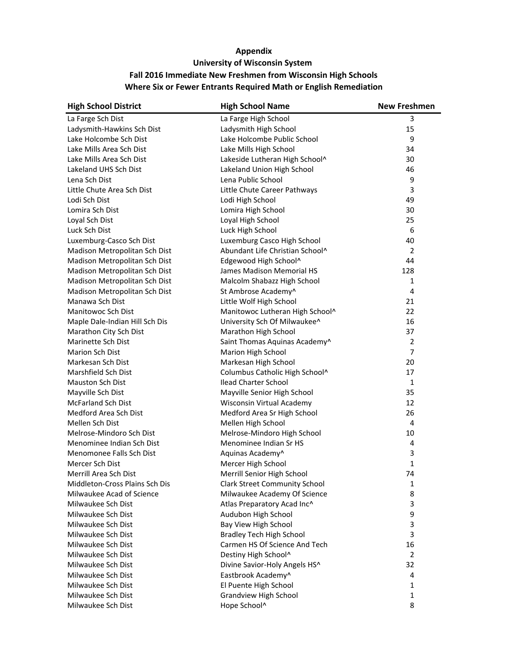| <b>High School District</b>    | <b>High School Name</b>              | <b>New Freshmen</b> |
|--------------------------------|--------------------------------------|---------------------|
| La Farge Sch Dist              | La Farge High School                 | 3                   |
| Ladysmith-Hawkins Sch Dist     | Ladysmith High School                | 15                  |
| Lake Holcombe Sch Dist         | Lake Holcombe Public School          | 9                   |
| Lake Mills Area Sch Dist       | Lake Mills High School               | 34                  |
| Lake Mills Area Sch Dist       | Lakeside Lutheran High School^       | 30                  |
| Lakeland UHS Sch Dist          | Lakeland Union High School           | 46                  |
| Lena Sch Dist                  | Lena Public School                   | 9                   |
| Little Chute Area Sch Dist     | Little Chute Career Pathways         | 3                   |
| Lodi Sch Dist                  | Lodi High School                     | 49                  |
| Lomira Sch Dist                | Lomira High School                   | 30                  |
| Loyal Sch Dist                 | Loyal High School                    | 25                  |
| Luck Sch Dist                  | Luck High School                     | 6                   |
| Luxemburg-Casco Sch Dist       | Luxemburg Casco High School          | 40                  |
| Madison Metropolitan Sch Dist  | Abundant Life Christian School^      | $\overline{2}$      |
| Madison Metropolitan Sch Dist  | Edgewood High School^                | 44                  |
| Madison Metropolitan Sch Dist  | James Madison Memorial HS            | 128                 |
| Madison Metropolitan Sch Dist  | Malcolm Shabazz High School          | $\mathbf{1}$        |
| Madison Metropolitan Sch Dist  | St Ambrose Academy^                  | 4                   |
| Manawa Sch Dist                | Little Wolf High School              | 21                  |
| Manitowoc Sch Dist             | Manitowoc Lutheran High School^      | 22                  |
| Maple Dale-Indian Hill Sch Dis | University Sch Of Milwaukee^         | 16                  |
| Marathon City Sch Dist         | Marathon High School                 | 37                  |
| Marinette Sch Dist             | Saint Thomas Aquinas Academy^        | 2                   |
| Marion Sch Dist                | Marion High School                   | $\overline{7}$      |
| Markesan Sch Dist              | Markesan High School                 | 20                  |
| Marshfield Sch Dist            | Columbus Catholic High School^       | 17                  |
| Mauston Sch Dist               | <b>Ilead Charter School</b>          | 1                   |
| Mayville Sch Dist              | Mayville Senior High School          | 35                  |
| <b>McFarland Sch Dist</b>      | Wisconsin Virtual Academy            | 12                  |
| Medford Area Sch Dist          | Medford Area Sr High School          | 26                  |
| Mellen Sch Dist                | Mellen High School                   | 4                   |
| Melrose-Mindoro Sch Dist       | Melrose-Mindoro High School          | 10                  |
| Menominee Indian Sch Dist      | Menominee Indian Sr HS               | 4                   |
| Menomonee Falls Sch Dist       | Aquinas Academy^                     | 3                   |
| Mercer Sch Dist                | Mercer High School                   | 1                   |
| Merrill Area Sch Dist          | Merrill Senior High School           | 74                  |
| Middleton-Cross Plains Sch Dis | <b>Clark Street Community School</b> | 1                   |
| Milwaukee Acad of Science      | Milwaukee Academy Of Science         | 8                   |
| Milwaukee Sch Dist             | Atlas Preparatory Acad Inc^          | 3                   |
| Milwaukee Sch Dist             | Audubon High School                  | 9                   |
| Milwaukee Sch Dist             | Bay View High School                 | 3                   |
| Milwaukee Sch Dist             | <b>Bradley Tech High School</b>      | 3                   |
| Milwaukee Sch Dist             | Carmen HS Of Science And Tech        | 16                  |
| Milwaukee Sch Dist             | Destiny High School^                 | 2                   |
| Milwaukee Sch Dist             | Divine Savior-Holy Angels HS^        | 32                  |
| Milwaukee Sch Dist             | Eastbrook Academy^                   | 4                   |
| Milwaukee Sch Dist             | El Puente High School                | 1                   |
| Milwaukee Sch Dist             | <b>Grandview High School</b>         | 1                   |
| Milwaukee Sch Dist             | Hope School^                         | 8                   |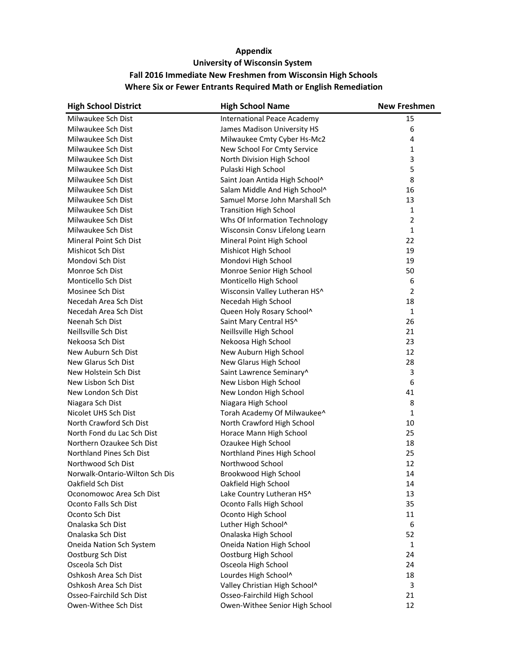| <b>High School District</b>    | <b>High School Name</b>            | <b>New Freshmen</b> |
|--------------------------------|------------------------------------|---------------------|
| Milwaukee Sch Dist             | <b>International Peace Academy</b> | 15                  |
| Milwaukee Sch Dist             | James Madison University HS        | 6                   |
| Milwaukee Sch Dist             | Milwaukee Cmty Cyber Hs-Mc2        | 4                   |
| Milwaukee Sch Dist             | New School For Cmty Service        | $\mathbf{1}$        |
| Milwaukee Sch Dist             | North Division High School         | 3                   |
| Milwaukee Sch Dist             | Pulaski High School                | 5                   |
| Milwaukee Sch Dist             | Saint Joan Antida High School^     | 8                   |
| Milwaukee Sch Dist             | Salam Middle And High School^      | 16                  |
| Milwaukee Sch Dist             | Samuel Morse John Marshall Sch     | 13                  |
| Milwaukee Sch Dist             | <b>Transition High School</b>      | 1                   |
| Milwaukee Sch Dist             | Whs Of Information Technology      | $\overline{2}$      |
| Milwaukee Sch Dist             | Wisconsin Consv Lifelong Learn     | $\mathbf{1}$        |
| Mineral Point Sch Dist         | Mineral Point High School          | 22                  |
| Mishicot Sch Dist              | Mishicot High School               | 19                  |
| Mondovi Sch Dist               | Mondovi High School                | 19                  |
| Monroe Sch Dist                | Monroe Senior High School          | 50                  |
| Monticello Sch Dist            | Monticello High School             | 6                   |
| Mosinee Sch Dist               | Wisconsin Valley Lutheran HS^      | $\overline{2}$      |
| Necedah Area Sch Dist          | Necedah High School                | 18                  |
| Necedah Area Sch Dist          | Queen Holy Rosary School^          | 1                   |
| Neenah Sch Dist                | Saint Mary Central HS^             | 26                  |
| Neillsville Sch Dist           | Neillsville High School            | 21                  |
| Nekoosa Sch Dist               | Nekoosa High School                | 23                  |
| New Auburn Sch Dist            | New Auburn High School             | 12                  |
| New Glarus Sch Dist            | New Glarus High School             | 28                  |
| New Holstein Sch Dist          | Saint Lawrence Seminary^           | 3                   |
| New Lisbon Sch Dist            | New Lisbon High School             | 6                   |
| New London Sch Dist            | New London High School             | 41                  |
| Niagara Sch Dist               | Niagara High School                | 8                   |
| Nicolet UHS Sch Dist           | Torah Academy Of Milwaukee^        | 1                   |
| North Crawford Sch Dist        | North Crawford High School         | 10                  |
| North Fond du Lac Sch Dist     | Horace Mann High School            | 25                  |
| Northern Ozaukee Sch Dist      | Ozaukee High School                | 18                  |
| Northland Pines Sch Dist       | Northland Pines High School        | 25                  |
| Northwood Sch Dist             | Northwood School                   | 12                  |
| Norwalk-Ontario-Wilton Sch Dis | Brookwood High School              | 14                  |
| Oakfield Sch Dist              | Oakfield High School               | 14                  |
| Oconomowoc Area Sch Dist       | Lake Country Lutheran HS^          | 13                  |
| Oconto Falls Sch Dist          | Oconto Falls High School           | 35                  |
| Oconto Sch Dist                | Oconto High School                 | 11                  |
| Onalaska Sch Dist              | Luther High School^                | 6                   |
| Onalaska Sch Dist              | Onalaska High School               | 52                  |
| Oneida Nation Sch System       | Oneida Nation High School          | $\mathbf{1}$        |
| Oostburg Sch Dist              | Oostburg High School               | 24                  |
| Osceola Sch Dist               | Osceola High School                | 24                  |
| Oshkosh Area Sch Dist          | Lourdes High School^               | 18                  |
| Oshkosh Area Sch Dist          | Valley Christian High School^      | 3                   |
| Osseo-Fairchild Sch Dist       | Osseo-Fairchild High School        | 21                  |
| Owen-Withee Sch Dist           | Owen-Withee Senior High School     | 12                  |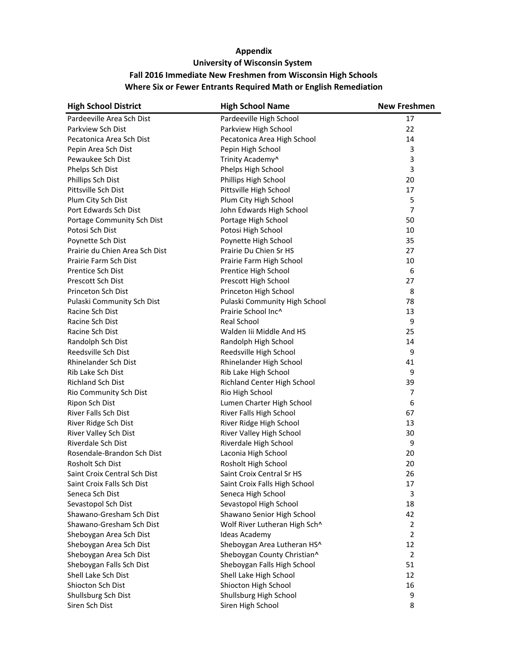| <b>High School District</b>    | <b>High School Name</b>       | <b>New Freshmen</b> |
|--------------------------------|-------------------------------|---------------------|
| Pardeeville Area Sch Dist      | Pardeeville High School       | 17                  |
| Parkview Sch Dist              | Parkview High School          | 22                  |
| Pecatonica Area Sch Dist       | Pecatonica Area High School   | 14                  |
| Pepin Area Sch Dist            | Pepin High School             | 3                   |
| Pewaukee Sch Dist              | Trinity Academy^              | 3                   |
| Phelps Sch Dist                | Phelps High School            | 3                   |
| Phillips Sch Dist              | Phillips High School          | 20                  |
| Pittsville Sch Dist            | Pittsville High School        | 17                  |
| Plum City Sch Dist             | Plum City High School         | 5                   |
| Port Edwards Sch Dist          | John Edwards High School      | 7                   |
| Portage Community Sch Dist     | Portage High School           | 50                  |
| Potosi Sch Dist                | Potosi High School            | 10                  |
| Poynette Sch Dist              | Poynette High School          | 35                  |
| Prairie du Chien Area Sch Dist | Prairie Du Chien Sr HS        | 27                  |
| Prairie Farm Sch Dist          | Prairie Farm High School      | 10                  |
| Prentice Sch Dist              | Prentice High School          | 6                   |
| Prescott Sch Dist              | Prescott High School          | 27                  |
| Princeton Sch Dist             | Princeton High School         | 8                   |
| Pulaski Community Sch Dist     | Pulaski Community High School | 78                  |
| Racine Sch Dist                | Prairie School Inc^           | 13                  |
| Racine Sch Dist                | Real School                   | 9                   |
| Racine Sch Dist                | Walden Iii Middle And HS      | 25                  |
| Randolph Sch Dist              | Randolph High School          | 14                  |
| Reedsville Sch Dist            | Reedsville High School        | 9                   |
| Rhinelander Sch Dist           | Rhinelander High School       | 41                  |
| Rib Lake Sch Dist              | Rib Lake High School          | 9                   |
| <b>Richland Sch Dist</b>       | Richland Center High School   | 39                  |
| Rio Community Sch Dist         | Rio High School               | 7                   |
| Ripon Sch Dist                 | Lumen Charter High School     | 6                   |
| River Falls Sch Dist           | River Falls High School       | 67                  |
| River Ridge Sch Dist           | River Ridge High School       | 13                  |
| River Valley Sch Dist          | River Valley High School      | 30                  |
| Riverdale Sch Dist             | Riverdale High School         | 9                   |
| Rosendale-Brandon Sch Dist     | Laconia High School           | 20                  |
| Rosholt Sch Dist               | Rosholt High School           | 20                  |
| Saint Croix Central Sch Dist   | Saint Croix Central Sr HS     | 26                  |
| Saint Croix Falls Sch Dist     | Saint Croix Falls High School | 17                  |
| Seneca Sch Dist                | Seneca High School            | 3                   |
| Sevastopol Sch Dist            | Sevastopol High School        | 18                  |
| Shawano-Gresham Sch Dist       | Shawano Senior High School    | 42                  |
| Shawano-Gresham Sch Dist       | Wolf River Lutheran High Sch^ | $\overline{2}$      |
| Sheboygan Area Sch Dist        | <b>Ideas Academy</b>          | $\overline{2}$      |
| Sheboygan Area Sch Dist        | Sheboygan Area Lutheran HS^   | 12                  |
| Sheboygan Area Sch Dist        | Sheboygan County Christian^   | 2                   |
| Sheboygan Falls Sch Dist       | Sheboygan Falls High School   | 51                  |
| Shell Lake Sch Dist            | Shell Lake High School        | 12                  |
| Shiocton Sch Dist              | Shiocton High School          | 16                  |
| Shullsburg Sch Dist            | Shullsburg High School        | 9                   |
| Siren Sch Dist                 | Siren High School             | 8                   |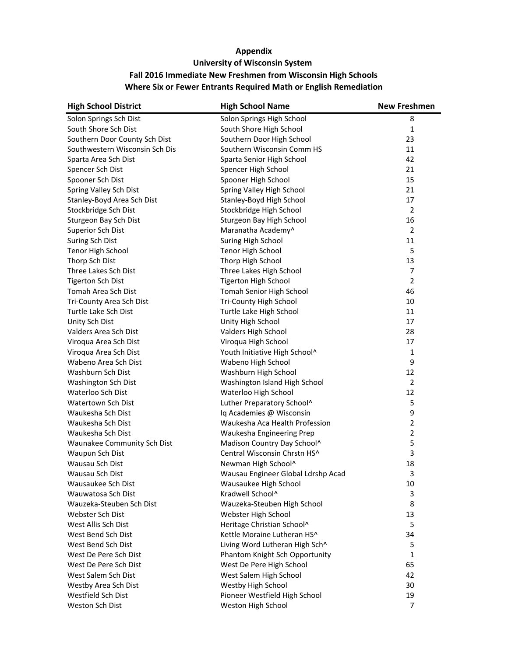| <b>High School District</b>    | <b>High School Name</b>            | <b>New Freshmen</b> |
|--------------------------------|------------------------------------|---------------------|
| Solon Springs Sch Dist         | Solon Springs High School          | 8                   |
| South Shore Sch Dist           | South Shore High School            | 1                   |
| Southern Door County Sch Dist  | Southern Door High School          | 23                  |
| Southwestern Wisconsin Sch Dis | Southern Wisconsin Comm HS         | 11                  |
| Sparta Area Sch Dist           | Sparta Senior High School          | 42                  |
| Spencer Sch Dist               | Spencer High School                | 21                  |
| Spooner Sch Dist               | Spooner High School                | 15                  |
| Spring Valley Sch Dist         | Spring Valley High School          | 21                  |
| Stanley-Boyd Area Sch Dist     | Stanley-Boyd High School           | 17                  |
| Stockbridge Sch Dist           | Stockbridge High School            | $\overline{2}$      |
| Sturgeon Bay Sch Dist          | Sturgeon Bay High School           | 16                  |
| Superior Sch Dist              | Maranatha Academy^                 | $\overline{2}$      |
| <b>Suring Sch Dist</b>         | Suring High School                 | 11                  |
| Tenor High School              | Tenor High School                  | 5                   |
| Thorp Sch Dist                 | Thorp High School                  | 13                  |
| Three Lakes Sch Dist           | Three Lakes High School            | 7                   |
| <b>Tigerton Sch Dist</b>       | <b>Tigerton High School</b>        | $\overline{2}$      |
| Tomah Area Sch Dist            | Tomah Senior High School           | 46                  |
| Tri-County Area Sch Dist       | Tri-County High School             | 10                  |
| Turtle Lake Sch Dist           | Turtle Lake High School            | 11                  |
| Unity Sch Dist                 | Unity High School                  | 17                  |
| Valders Area Sch Dist          | Valders High School                | 28                  |
| Viroqua Area Sch Dist          | Viroqua High School                | 17                  |
| Viroqua Area Sch Dist          | Youth Initiative High School^      | 1                   |
| Wabeno Area Sch Dist           | Wabeno High School                 | 9                   |
| Washburn Sch Dist              | Washburn High School               | 12                  |
| Washington Sch Dist            | Washington Island High School      | $\overline{2}$      |
| Waterloo Sch Dist              | Waterloo High School               | 12                  |
| Watertown Sch Dist             | Luther Preparatory School^         | 5                   |
| Waukesha Sch Dist              | Iq Academies @ Wisconsin           | 9                   |
| Waukesha Sch Dist              | Waukesha Aca Health Profession     | $\overline{2}$      |
| Waukesha Sch Dist              | Waukesha Engineering Prep          | $\overline{2}$      |
| Waunakee Community Sch Dist    | Madison Country Day School^        | 5                   |
| Waupun Sch Dist                | Central Wisconsin Chrstn HS^       | 3                   |
| Wausau Sch Dist                | Newman High School^                | 18                  |
| Wausau Sch Dist                | Wausau Engineer Global Ldrshp Acad | 3                   |
| Wausaukee Sch Dist             | Wausaukee High School              | 10                  |
| Wauwatosa Sch Dist             | Kradwell School^                   | 3                   |
| Wauzeka-Steuben Sch Dist       | Wauzeka-Steuben High School        | 8                   |
| Webster Sch Dist               | Webster High School                | 13                  |
| West Allis Sch Dist            | Heritage Christian School^         | 5                   |
| West Bend Sch Dist             | Kettle Moraine Lutheran HS^        | 34                  |
| West Bend Sch Dist             | Living Word Lutheran High Sch^     | 5                   |
| West De Pere Sch Dist          | Phantom Knight Sch Opportunity     | $\mathbf{1}$        |
| West De Pere Sch Dist          | West De Pere High School           | 65                  |
| West Salem Sch Dist            | West Salem High School             | 42                  |
| Westby Area Sch Dist           | Westby High School                 | 30                  |
| Westfield Sch Dist             | Pioneer Westfield High School      | 19                  |
| Weston Sch Dist                | Weston High School                 | 7                   |